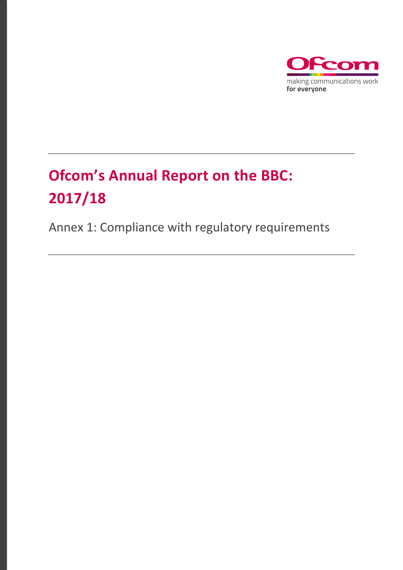

# **Ofcom's Annual Report on the BBC: 2017/18**

Annex 1: Compliance with regulatory requirements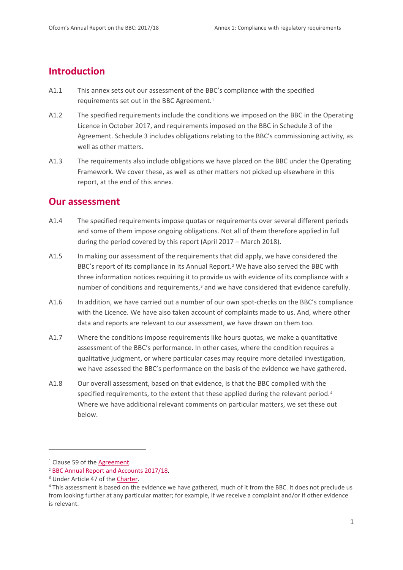## **Introduction**

- A1.1 This annex sets out our assessment of the BBC's compliance with the specified requirements set out in the BBC Agreement.<sup>[1](#page-1-0)</sup>
- A1.2 The specified requirements include the conditions we imposed on the BBC in the Operating Licence in October 2017, and requirements imposed on the BBC in Schedule 3 of the Agreement. Schedule 3 includes obligations relating to the BBC's commissioning activity, as well as other matters.
- A1.3 The requirements also include obligations we have placed on the BBC under the Operating Framework. We cover these, as well as other matters not picked up elsewhere in this report, at the end of this annex.

#### **Our assessment**

- A1.4 The specified requirements impose quotas or requirements over several different periods and some of them impose ongoing obligations. Not all of them therefore applied in full during the period covered by this report (April 2017 – March 2018).
- A1.5 In making our assessment of the requirements that did apply, we have considered the BBC's report of its compliance in its Annual Report.[2](#page-1-1) We have also served the BBC with three information notices requiring it to provide us with evidence of its compliance with a number of conditions and requirements, $3$  and we have considered that evidence carefully.
- A1.6 In addition, we have carried out a number of our own spot-checks on the BBC's compliance with the Licence. We have also taken account of complaints made to us. And, where other data and reports are relevant to our assessment, we have drawn on them too.
- A1.7 Where the conditions impose requirements like hours quotas, we make a quantitative assessment of the BBC's performance. In other cases, where the condition requires a qualitative judgment, or where particular cases may require more detailed investigation, we have assessed the BBC's performance on the basis of the evidence we have gathered.
- A1.8 Our overall assessment, based on that evidence, is that the BBC complied with the specified requirements, to the extent that these applied during the relevant period.<sup>[4](#page-1-3)</sup> Where we have additional relevant comments on particular matters, we set these out below.

**.** 

<span id="page-1-0"></span><sup>&</sup>lt;sup>1</sup> Clause 59 of the **Agreement**.

<span id="page-1-1"></span><sup>2</sup> [BBC Annual Report and Accounts 2017/18.](http://downloads.bbc.co.uk/aboutthebbc/insidethebbc/reports/pdf/bbc_annualreport_201718.pdf)

<span id="page-1-2"></span><sup>&</sup>lt;sup>3</sup> Under Article 47 of th[e Charter.](https://www.gov.uk/government/publications/bbc-charter-and-framework-agreement)

<span id="page-1-3"></span><sup>&</sup>lt;sup>4</sup> This assessment is based on the evidence we have gathered, much of it from the BBC. It does not preclude us from looking further at any particular matter; for example, if we receive a complaint and/or if other evidence is relevant.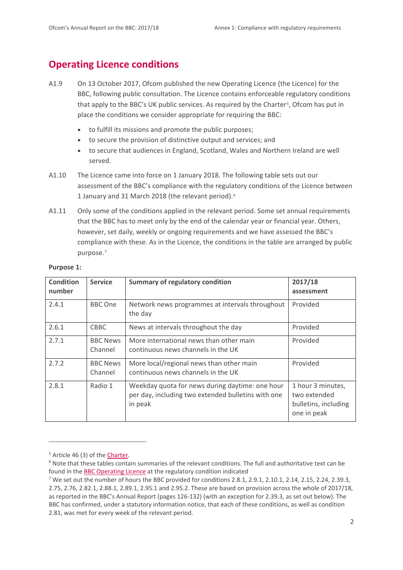# **Operating Licence conditions**

- A1.9 On 13 October 2017, Ofcom published the new Operating Licence (the Licence) for the BBC, following public consultation. The Licence contains enforceable regulatory conditions that apply to the BBC's UK public services. As required by the Charter<sup>5</sup>, Ofcom has put in place the conditions we consider appropriate for requiring the BBC:
	- to fulfill its missions and promote the public purposes;
	- to secure the provision of distinctive output and services; and
	- to secure that audiences in England, Scotland, Wales and Northern Ireland are well served.
- A1.10 The Licence came into force on 1 January 2018. The following table sets out our assessment of the BBC's compliance with the regulatory conditions of the Licence between 1 January and 31 March 2018 (the relevant period).[6](#page-2-1)
- A1.11 Only some of the conditions applied in the relevant period. Some set annual requirements that the BBC has to meet only by the end of the calendar year or financial year. Others, however, set daily, weekly or ongoing requirements and we have assessed the BBC's compliance with these. As in the Licence, the conditions in the table are arranged by public purpose.[7](#page-2-2)

| <b>Condition</b><br>number | <b>Service</b>             | <b>Summary of regulatory condition</b>                                                                           | 2017/18<br>assessment                                                    |
|----------------------------|----------------------------|------------------------------------------------------------------------------------------------------------------|--------------------------------------------------------------------------|
| 2.4.1                      | <b>BBC</b> One             | Network news programmes at intervals throughout<br>the day                                                       | Provided                                                                 |
| 2.6.1                      | <b>CBBC</b>                | News at intervals throughout the day                                                                             | Provided                                                                 |
| 2.7.1                      | <b>BBC News</b><br>Channel | More international news than other main<br>continuous news channels in the UK                                    | Provided                                                                 |
| 2.7.2                      | <b>BBC News</b><br>Channel | More local/regional news than other main<br>continuous news channels in the UK                                   | Provided                                                                 |
| 2.8.1                      | Radio 1                    | Weekday quota for news during daytime: one hour<br>per day, including two extended bulletins with one<br>in peak | 1 hour 3 minutes,<br>two extended<br>bulletins, including<br>one in peak |

#### **Purpose 1:**

<span id="page-2-0"></span><sup>&</sup>lt;sup>5</sup> Article 46 (3) of the **Charter**.

<span id="page-2-1"></span> $6$  Note that these tables contain summaries of the relevant conditions. The full and authoritative text can be found in the [BBC Operating Licence](https://www.ofcom.org.uk/__data/assets/pdf_file/0017/107072/bbc-operating-licence.pdf) at the regulatory condition indicated

<span id="page-2-2"></span><sup>&</sup>lt;sup>7</sup> We set out the number of hours the BBC provided for conditions 2.8.1, 2.9.1, 2.10.1, 2.14, 2.15, 2.24, 2.39.3, 2.75, 2.76, 2.82.1, 2.88.1, 2.89.1, 2.95.1 and 2.95.2. These are based on provision across the whole of 2017/18, as reported in the BBC's Annual Report (pages 126-132) (with an exception for 2.39.3, as set out below). The BBC has confirmed, under a statutory information notice, that each of these conditions, as well as condition 2.81, was met for every week of the relevant period.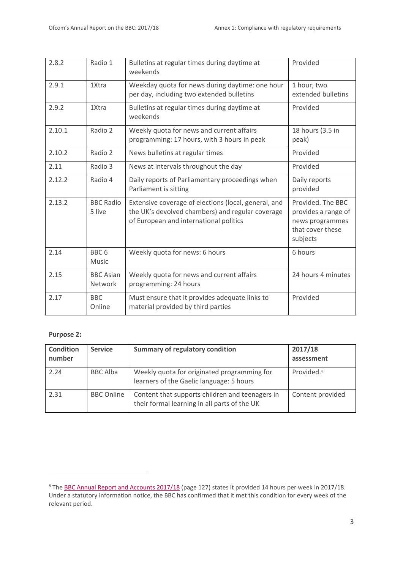| 2.8.2  | Radio 1                            | Bulletins at regular times during daytime at<br>weekends                                                                                           | Provided                                                                                    |
|--------|------------------------------------|----------------------------------------------------------------------------------------------------------------------------------------------------|---------------------------------------------------------------------------------------------|
| 2.9.1  | 1Xtra                              | Weekday quota for news during daytime: one hour<br>per day, including two extended bulletins                                                       | 1 hour, two<br>extended bulletins                                                           |
| 2.9.2  | 1Xtra                              | Bulletins at regular times during daytime at<br>weekends                                                                                           | Provided                                                                                    |
| 2.10.1 | Radio 2                            | Weekly quota for news and current affairs<br>programming: 17 hours, with 3 hours in peak                                                           | 18 hours (3.5 in<br>peak)                                                                   |
| 2.10.2 | Radio 2                            | News bulletins at regular times                                                                                                                    | Provided                                                                                    |
| 2.11   | Radio 3                            | News at intervals throughout the day                                                                                                               | Provided                                                                                    |
| 2.12.2 | Radio 4                            | Daily reports of Parliamentary proceedings when<br>Parliament is sitting                                                                           | Daily reports<br>provided                                                                   |
| 2.13.2 | <b>BBC Radio</b><br>5 live         | Extensive coverage of elections (local, general, and<br>the UK's devolved chambers) and regular coverage<br>of European and international politics | Provided. The BBC<br>provides a range of<br>news programmes<br>that cover these<br>subjects |
| 2.14   | BBC <sub>6</sub><br>Music          | Weekly quota for news: 6 hours                                                                                                                     | 6 hours                                                                                     |
| 2.15   | <b>BBC</b> Asian<br><b>Network</b> | Weekly quota for news and current affairs<br>programming: 24 hours                                                                                 | 24 hours 4 minutes                                                                          |
| 2.17   | <b>BBC</b><br>Online               | Must ensure that it provides adequate links to<br>material provided by third parties                                                               | Provided                                                                                    |

#### **Purpose 2:**

| <b>Condition</b><br>number | <b>Service</b>    | <b>Summary of regulatory condition</b>                                                          | 2017/18<br>assessment  |
|----------------------------|-------------------|-------------------------------------------------------------------------------------------------|------------------------|
| 2.24                       | <b>BBC Alba</b>   | Weekly quota for originated programming for<br>learners of the Gaelic language: 5 hours         | Provided. <sup>8</sup> |
| 2.31                       | <b>BBC Online</b> | Content that supports children and teenagers in<br>their formal learning in all parts of the UK | Content provided       |

<span id="page-3-0"></span><sup>&</sup>lt;sup>8</sup> The [BBC Annual Report and Accounts 2017/18](http://downloads.bbc.co.uk/aboutthebbc/insidethebbc/reports/pdf/bbc_annualreport_201718.pdf) (page 127) states it provided 14 hours per week in 2017/18. Under a statutory information notice, the BBC has confirmed that it met this condition for every week of the relevant period.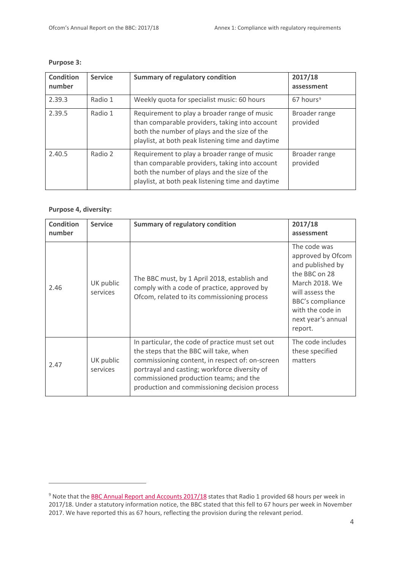| <b>Condition</b><br>number | <b>Service</b> | <b>Summary of regulatory condition</b>                                                                                                                                                              | 2017/18<br>assessment     |
|----------------------------|----------------|-----------------------------------------------------------------------------------------------------------------------------------------------------------------------------------------------------|---------------------------|
| 2.39.3                     | Radio 1        | Weekly quota for specialist music: 60 hours                                                                                                                                                         | $67$ hours <sup>9</sup>   |
| 2.39.5                     | Radio 1        | Requirement to play a broader range of music<br>than comparable providers, taking into account<br>both the number of plays and the size of the<br>playlist, at both peak listening time and daytime | Broader range<br>provided |
| 2.40.5                     | Radio 2        | Requirement to play a broader range of music<br>than comparable providers, taking into account<br>both the number of plays and the size of the<br>playlist, at both peak listening time and daytime | Broader range<br>provided |

#### **Purpose 3:**

#### **Purpose 4, diversity:**

| <b>Condition</b><br>number | <b>Service</b>        | <b>Summary of regulatory condition</b>                                                                                                                                                                                                                                                    | 2017/18<br>assessment                                                                                                                                                                       |
|----------------------------|-----------------------|-------------------------------------------------------------------------------------------------------------------------------------------------------------------------------------------------------------------------------------------------------------------------------------------|---------------------------------------------------------------------------------------------------------------------------------------------------------------------------------------------|
| 2.46                       | UK public<br>services | The BBC must, by 1 April 2018, establish and<br>comply with a code of practice, approved by<br>Ofcom, related to its commissioning process                                                                                                                                                | The code was<br>approved by Ofcom<br>and published by<br>the BBC on 28<br>March 2018. We<br>will assess the<br><b>BBC's compliance</b><br>with the code in<br>next year's annual<br>report. |
| 2.47                       | UK public<br>services | In particular, the code of practice must set out<br>the steps that the BBC will take, when<br>commissioning content, in respect of: on-screen<br>portrayal and casting; workforce diversity of<br>commissioned production teams; and the<br>production and commissioning decision process | The code includes<br>these specified<br>matters                                                                                                                                             |

<span id="page-4-0"></span><sup>&</sup>lt;sup>9</sup> Note that the **BBC Annual Report and Accounts 2017/18** states that Radio 1 provided 68 hours per week in 2017/18. Under a statutory information notice, the BBC stated that this fell to 67 hours per week in November 2017. We have reported this as 67 hours, reflecting the provision during the relevant period.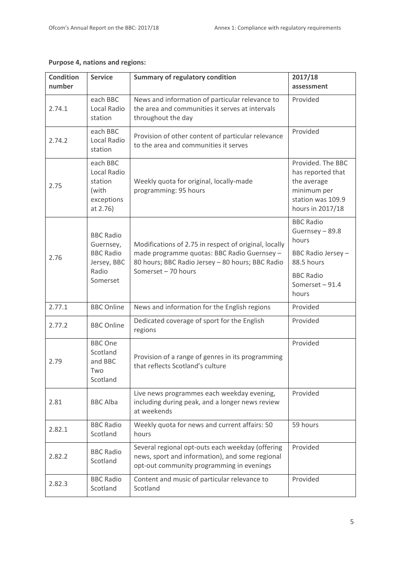| <b>Condition</b><br>number | <b>Service</b>                                                                        | <b>Summary of regulatory condition</b>                                                                                                                                          | 2017/18<br>assessment                                                                                                         |
|----------------------------|---------------------------------------------------------------------------------------|---------------------------------------------------------------------------------------------------------------------------------------------------------------------------------|-------------------------------------------------------------------------------------------------------------------------------|
| 2.74.1                     | each BBC<br>Local Radio<br>station                                                    | News and information of particular relevance to<br>the area and communities it serves at intervals<br>throughout the day                                                        | Provided                                                                                                                      |
| 2.74.2                     | each BBC<br>Local Radio<br>station                                                    | Provision of other content of particular relevance<br>to the area and communities it serves                                                                                     | Provided                                                                                                                      |
| 2.75                       | each BBC<br>Local Radio<br>station<br>(with<br>exceptions<br>at 2.76)                 | Weekly quota for original, locally-made<br>programming: 95 hours                                                                                                                | Provided. The BBC<br>has reported that<br>the average<br>minimum per<br>station was 109.9<br>hours in 2017/18                 |
| 2.76                       | <b>BBC Radio</b><br>Guernsey,<br><b>BBC Radio</b><br>Jersey, BBC<br>Radio<br>Somerset | Modifications of 2.75 in respect of original, locally<br>made programme quotas: BBC Radio Guernsey -<br>80 hours; BBC Radio Jersey - 80 hours; BBC Radio<br>Somerset - 70 hours | <b>BBC Radio</b><br>Guernsey - 89.8<br>hours<br>BBC Radio Jersey-<br>88.5 hours<br><b>BBC Radio</b><br>Somerset-91.4<br>hours |
| 2.77.1                     | <b>BBC Online</b>                                                                     | News and information for the English regions                                                                                                                                    | Provided                                                                                                                      |
| 2.77.2                     | <b>BBC Online</b>                                                                     | Dedicated coverage of sport for the English<br>regions                                                                                                                          | Provided                                                                                                                      |
| 2.79                       | <b>BBC</b> One<br>Scotland<br>and BBC<br>Two<br>Scotland                              | Provision of a range of genres in its programming<br>that reflects Scotland's culture                                                                                           | Provided                                                                                                                      |
| 2.81                       | <b>BBC Alba</b>                                                                       | Live news programmes each weekday evening,<br>including during peak, and a longer news review<br>at weekends                                                                    | Provided                                                                                                                      |
| 2.82.1                     | <b>BBC Radio</b><br>Scotland                                                          | Weekly quota for news and current affairs: 50<br>hours                                                                                                                          | 59 hours                                                                                                                      |
| 2.82.2                     | <b>BBC Radio</b><br>Scotland                                                          | Several regional opt-outs each weekday (offering<br>news, sport and information), and some regional<br>opt-out community programming in evenings                                | Provided                                                                                                                      |
| 2.82.3                     | <b>BBC Radio</b><br>Scotland                                                          | Content and music of particular relevance to<br>Scotland                                                                                                                        | Provided                                                                                                                      |

#### **Purpose 4, nations and regions:**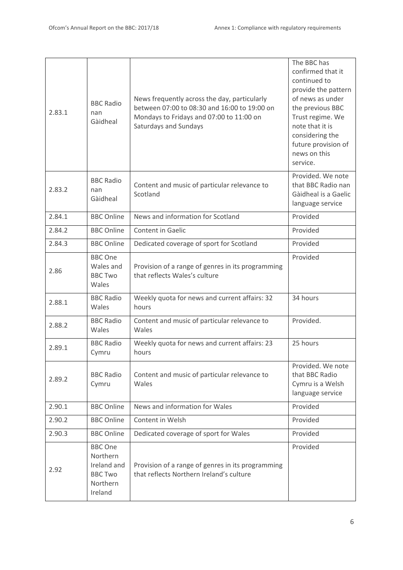| 2.83.1 | <b>BBC Radio</b><br>nan<br>Gàidheal                                                | News frequently across the day, particularly<br>between 07:00 to 08:30 and 16:00 to 19:00 on<br>Mondays to Fridays and 07:00 to 11:00 on<br>Saturdays and Sundays | The BBC has<br>confirmed that it<br>continued to<br>provide the pattern<br>of news as under<br>the previous BBC<br>Trust regime. We<br>note that it is<br>considering the<br>future provision of<br>news on this<br>service. |
|--------|------------------------------------------------------------------------------------|-------------------------------------------------------------------------------------------------------------------------------------------------------------------|------------------------------------------------------------------------------------------------------------------------------------------------------------------------------------------------------------------------------|
| 2.83.2 | <b>BBC Radio</b><br>nan<br>Gàidheal                                                | Content and music of particular relevance to<br>Scotland                                                                                                          | Provided. We note<br>that BBC Radio nan<br>Gàidheal is a Gaelic<br>language service                                                                                                                                          |
| 2.84.1 | <b>BBC Online</b>                                                                  | News and information for Scotland                                                                                                                                 | Provided                                                                                                                                                                                                                     |
| 2.84.2 | <b>BBC Online</b>                                                                  | Content in Gaelic                                                                                                                                                 | Provided                                                                                                                                                                                                                     |
| 2.84.3 | <b>BBC Online</b>                                                                  | Dedicated coverage of sport for Scotland                                                                                                                          | Provided                                                                                                                                                                                                                     |
| 2.86   | <b>BBC</b> One<br>Wales and<br><b>BBC Two</b><br>Wales                             | Provision of a range of genres in its programming<br>that reflects Wales's culture                                                                                | Provided                                                                                                                                                                                                                     |
| 2.88.1 | <b>BBC Radio</b><br>Wales                                                          | Weekly quota for news and current affairs: 32<br>hours                                                                                                            | 34 hours                                                                                                                                                                                                                     |
| 2.88.2 | <b>BBC Radio</b><br>Wales                                                          | Content and music of particular relevance to<br>Wales                                                                                                             | Provided.                                                                                                                                                                                                                    |
| 2.89.1 | <b>BBC Radio</b><br>Cymru                                                          | Weekly quota for news and current affairs: 23<br>hours                                                                                                            | 25 hours                                                                                                                                                                                                                     |
| 2.89.2 | <b>BBC Radio</b><br>Cymru                                                          | Content and music of particular relevance to<br>Wales                                                                                                             | Provided. We note<br>that BBC Radio<br>Cymru is a Welsh<br>language service                                                                                                                                                  |
| 2.90.1 | <b>BBC Online</b>                                                                  | News and information for Wales                                                                                                                                    | Provided                                                                                                                                                                                                                     |
| 2.90.2 | <b>BBC Online</b>                                                                  | Content in Welsh                                                                                                                                                  | Provided                                                                                                                                                                                                                     |
| 2.90.3 | <b>BBC Online</b>                                                                  | Dedicated coverage of sport for Wales                                                                                                                             | Provided                                                                                                                                                                                                                     |
| 2.92   | <b>BBC One</b><br>Northern<br>Ireland and<br><b>BBC Two</b><br>Northern<br>Ireland | Provision of a range of genres in its programming<br>that reflects Northern Ireland's culture                                                                     | Provided                                                                                                                                                                                                                     |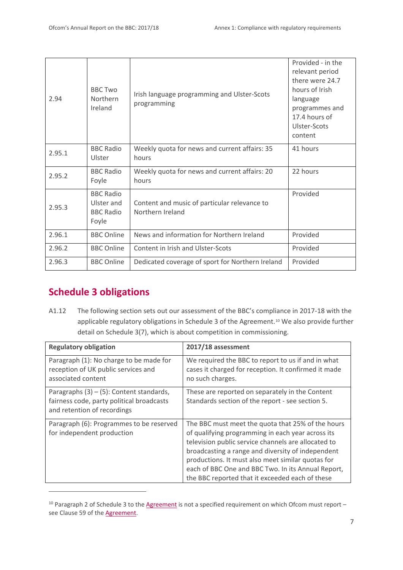| 2.94   | <b>BBC Two</b><br>Northern<br>Ireland                       | Irish language programming and Ulster-Scots<br>programming       | Provided - in the<br>relevant period<br>there were 24.7<br>hours of Irish<br>language<br>programmes and<br>17.4 hours of<br>Ulster-Scots<br>content |
|--------|-------------------------------------------------------------|------------------------------------------------------------------|-----------------------------------------------------------------------------------------------------------------------------------------------------|
| 2.95.1 | <b>BBC Radio</b><br>Ulster                                  | Weekly quota for news and current affairs: 35<br>hours           | 41 hours                                                                                                                                            |
| 2.95.2 | <b>BBC Radio</b><br>Foyle                                   | Weekly quota for news and current affairs: 20<br>hours           | 22 hours                                                                                                                                            |
| 2.95.3 | <b>BBC Radio</b><br>Ulster and<br><b>BBC Radio</b><br>Foyle | Content and music of particular relevance to<br>Northern Ireland | Provided                                                                                                                                            |
| 2.96.1 | <b>BBC Online</b>                                           | News and information for Northern Ireland                        | Provided                                                                                                                                            |
| 2.96.2 | <b>BBC Online</b>                                           | Content in Irish and Ulster-Scots                                | Provided                                                                                                                                            |
| 2.96.3 | <b>BBC Online</b>                                           | Dedicated coverage of sport for Northern Ireland                 | Provided                                                                                                                                            |

# **Schedule 3 obligations**

**.** 

A1.12 The following section sets out our assessment of the BBC's compliance in 2017-18 with the applicable regulatory obligations in Schedule 3 of the Agreement.<sup>[10](#page-7-0)</sup> We also provide further detail on Schedule 3(7), which is about competition in commissioning.

| <b>Regulatory obligation</b>                                                                                            | 2017/18 assessment                                                                                                                                                                                                                                                                                                                                                               |
|-------------------------------------------------------------------------------------------------------------------------|----------------------------------------------------------------------------------------------------------------------------------------------------------------------------------------------------------------------------------------------------------------------------------------------------------------------------------------------------------------------------------|
| Paragraph (1): No charge to be made for<br>reception of UK public services and<br>associated content                    | We required the BBC to report to us if and in what<br>cases it charged for reception. It confirmed it made<br>no such charges.                                                                                                                                                                                                                                                   |
| Paragraphs $(3) - (5)$ : Content standards,<br>fairness code, party political broadcasts<br>and retention of recordings | These are reported on separately in the Content<br>Standards section of the report - see section 5.                                                                                                                                                                                                                                                                              |
| Paragraph (6): Programmes to be reserved<br>for independent production                                                  | The BBC must meet the quota that 25% of the hours<br>of qualifying programming in each year across its<br>television public service channels are allocated to<br>broadcasting a range and diversity of independent<br>productions. It must also meet similar quotas for<br>each of BBC One and BBC Two. In its Annual Report,<br>the BBC reported that it exceeded each of these |

<span id="page-7-0"></span> $10$  Paragraph 2 of Schedule 3 to the [Agreement](https://www.gov.uk/government/publications/bbc-charter-and-framework-agreement) is not a specified requirement on which Ofcom must report – see Clause 59 of the [Agreement.](https://www.gov.uk/government/publications/bbc-charter-and-framework-agreement)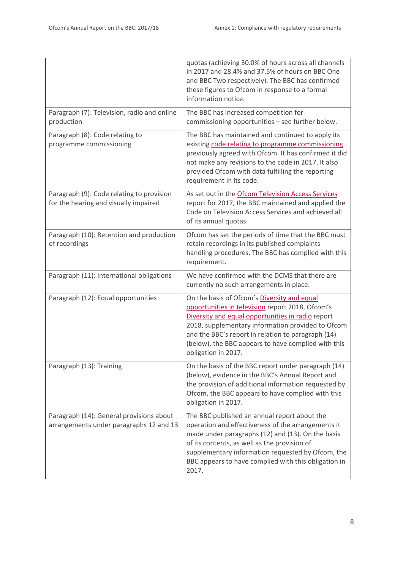|                                                                                     | quotas (achieving 30.0% of hours across all channels<br>in 2017 and 28.4% and 37.5% of hours on BBC One<br>and BBC Two respectively). The BBC has confirmed<br>these figures to Ofcom in response to a formal<br>information notice.                                                                                                          |
|-------------------------------------------------------------------------------------|-----------------------------------------------------------------------------------------------------------------------------------------------------------------------------------------------------------------------------------------------------------------------------------------------------------------------------------------------|
| Paragraph (7): Television, radio and online<br>production                           | The BBC has increased competition for<br>commissioning opportunities - see further below.                                                                                                                                                                                                                                                     |
| Paragraph (8): Code relating to<br>programme commissioning                          | The BBC has maintained and continued to apply its<br>existing code relating to programme commissioning<br>previously agreed with Ofcom. It has confirmed it did<br>not make any revisions to the code in 2017. It also<br>provided Ofcom with data fulfilling the reporting<br>requirement in its code.                                       |
| Paragraph (9): Code relating to provision<br>for the hearing and visually impaired  | As set out in the Ofcom Television Access Services<br>report for 2017, the BBC maintained and applied the<br>Code on Television Access Services and achieved all<br>of its annual quotas.                                                                                                                                                     |
| Paragraph (10): Retention and production<br>of recordings                           | Ofcom has set the periods of time that the BBC must<br>retain recordings in its published complaints<br>handling procedures. The BBC has complied with this<br>requirement.                                                                                                                                                                   |
| Paragraph (11): International obligations                                           | We have confirmed with the DCMS that there are<br>currently no such arrangements in place.                                                                                                                                                                                                                                                    |
| Paragraph (12): Equal opportunities                                                 | On the basis of Ofcom's Diversity and equal<br>opportunities in television report 2018, Ofcom's<br>Diversity and equal opportunities in radio report<br>2018, supplementary information provided to Ofcom<br>and the BBC's report in relation to paragraph (14)<br>(below), the BBC appears to have complied with this<br>obligation in 2017. |
| Paragraph (13): Training                                                            | On the basis of the BBC report under paragraph (14)<br>(below), evidence in the BBC's Annual Report and<br>the provision of additional information requested by<br>Ofcom, the BBC appears to have complied with this<br>obligation in 2017.                                                                                                   |
| Paragraph (14): General provisions about<br>arrangements under paragraphs 12 and 13 | The BBC published an annual report about the<br>operation and effectiveness of the arrangements it<br>made under paragraphs (12) and (13). On the basis<br>of its contents, as well as the provision of<br>supplementary information requested by Ofcom, the<br>BBC appears to have complied with this obligation in<br>2017.                 |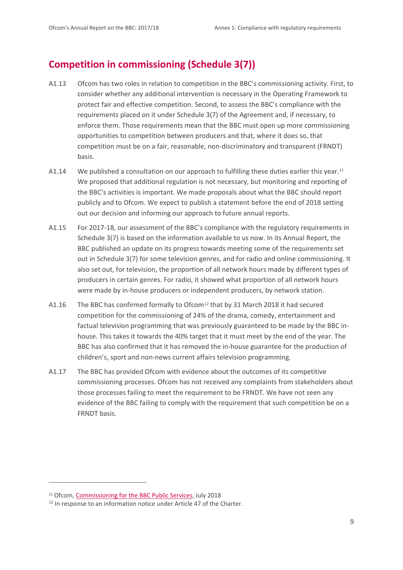## **Competition in commissioning (Schedule 3(7))**

- A1.13 Ofcom has two roles in relation to competition in the BBC's commissioning activity. First, to consider whether any additional intervention is necessary in the Operating Framework to protect fair and effective competition. Second, to assess the BBC's compliance with the requirements placed on it under Schedule 3(7) of the Agreement and, if necessary, to enforce them. Those requirements mean that the BBC must open up more commissioning opportunities to competition between producers and that, where it does so, that competition must be on a fair, reasonable, non-discriminatory and transparent (FRNDT) basis.
- A1.14 We published a consultation on our approach to fulfilling these duties earlier this year.<sup>[11](#page-9-0)</sup> We proposed that additional regulation is not necessary, but monitoring and reporting of the BBC's activities is important. We made proposals about what the BBC should report publicly and to Ofcom. We expect to publish a statement before the end of 2018 setting out our decision and informing our approach to future annual reports.
- A1.15 For 2017-18, our assessment of the BBC's compliance with the regulatory requirements in Schedule 3(7) is based on the information available to us now. In its Annual Report, the BBC published an update on its progress towards meeting some of the requirements set out in Schedule 3(7) for some television genres, and for radio and online commissioning. It also set out, for television, the proportion of all network hours made by different types of producers in certain genres. For radio, it showed what proportion of all network hours were made by in-house producers or independent producers, by network station.
- A1.16 The BBC has confirmed formally to Ofcom<sup>[12](#page-9-1)</sup> that by 31 March 2018 it had secured competition for the commissioning of 24% of the drama, comedy, entertainment and factual television programming that was previously guaranteed to be made by the BBC inhouse. This takes it towards the 40% target that it must meet by the end of the year. The BBC has also confirmed that it has removed the in-house guarantee for the production of children's, sport and non-news current affairs television programming.
- A1.17 The BBC has provided Ofcom with evidence about the outcomes of its competitive commissioning processes. Ofcom has not received any complaints from stakeholders about those processes failing to meet the requirement to be FRNDT. We have not seen any evidence of the BBC failing to comply with the requirement that such competition be on a FRNDT basis.

.<br>-

<span id="page-9-0"></span><sup>&</sup>lt;sup>11</sup> Ofcom, [Commissioning for the BBC Public Services,](https://www.ofcom.org.uk/__data/assets/pdf_file/0021/116706/consultation-bbc-commissioning-public-services.pdf) July 2018

<span id="page-9-1"></span><sup>&</sup>lt;sup>12</sup> In response to an information notice under Article 47 of the Charter.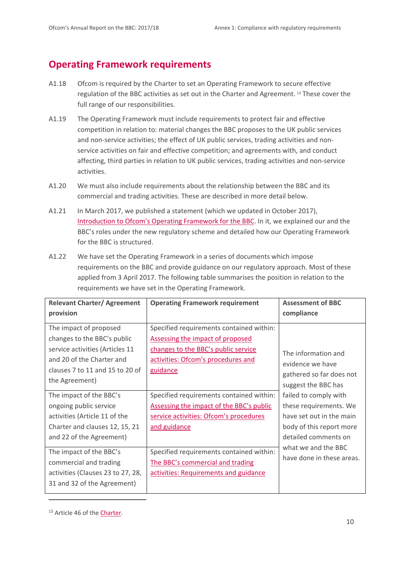# **Operating Framework requirements**

- A1.18 Ofcom is required by the Charter to set an Operating Framework to secure effective regulation of the BBC activities as set out in the Charter and Agreement. [13](#page-10-0) These cover the full range of our responsibilities.
- A1.19 The Operating Framework must include requirements to protect fair and effective competition in relation to: material changes the BBC proposes to the UK public services and non-service activities; the effect of UK public services, trading activities and nonservice activities on fair and effective competition; and agreements with, and conduct affecting, third parties in relation to UK public services, trading activities and non-service activities.
- A1.20 We must also include requirements about the relationship between the BBC and its commercial and trading activities. These are described in more detail below.
- A1.21 In March 2017, we published a statement (which we updated in October 2017), [Introduction to Ofcom's Operating Framework for the BBC.](https://www.ofcom.org.uk/__data/assets/pdf_file/0030/99408/bbc-framework.pdf) In it, we explained our and the BBC's roles under the new regulatory scheme and detailed how our Operating Framework for the BBC is structured.
- A1.22 We have set the Operating Framework in a series of documents which impose requirements on the BBC and provide guidance on our regulatory approach. Most of these applied from 3 April 2017. The following table summarises the position in relation to the requirements we have set in the Operating Framework.

| <b>Relevant Charter/ Agreement</b>                                                                                                                                         | <b>Operating Framework requirement</b>                                                                                                                                       | <b>Assessment of BBC</b>                                                                                                        |
|----------------------------------------------------------------------------------------------------------------------------------------------------------------------------|------------------------------------------------------------------------------------------------------------------------------------------------------------------------------|---------------------------------------------------------------------------------------------------------------------------------|
| provision                                                                                                                                                                  |                                                                                                                                                                              | compliance                                                                                                                      |
| The impact of proposed<br>changes to the BBC's public<br>service activities (Articles 11<br>and 20 of the Charter and<br>clauses 7 to 11 and 15 to 20 of<br>the Agreement) | Specified requirements contained within:<br><b>Assessing the impact of proposed</b><br>changes to the BBC's public service<br>activities: Ofcom's procedures and<br>guidance | The information and<br>evidence we have<br>gathered so far does not<br>suggest the BBC has                                      |
| The impact of the BBC's<br>ongoing public service<br>activities (Article 11 of the<br>Charter and clauses 12, 15, 21<br>and 22 of the Agreement)                           | Specified requirements contained within:<br>Assessing the impact of the BBC's public<br>service activities: Ofcom's procedures<br>and guidance                               | failed to comply with<br>these requirements. We<br>have set out in the main<br>body of this report more<br>detailed comments on |
| The impact of the BBC's<br>commercial and trading<br>activities (Clauses 23 to 27, 28,<br>31 and 32 of the Agreement)                                                      | Specified requirements contained within:<br>The BBC's commercial and trading<br>activities: Requirements and guidance                                                        | what we and the BBC<br>have done in these areas.                                                                                |

<span id="page-10-0"></span><sup>&</sup>lt;sup>13</sup> Article 46 of the **Charter**.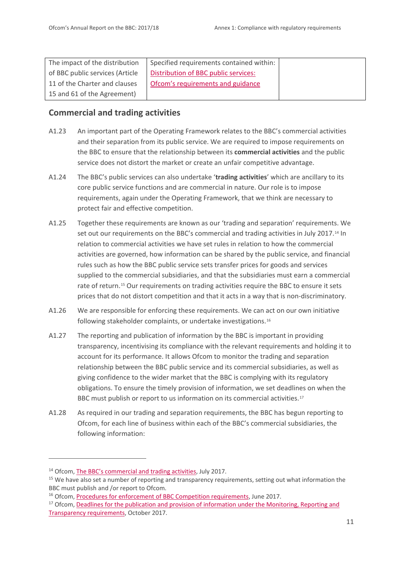| The impact of the distribution  | Specified requirements contained within: |  |
|---------------------------------|------------------------------------------|--|
| of BBC public services (Article | Distribution of BBC public services:     |  |
| 11 of the Charter and clauses   | Ofcom's requirements and guidance        |  |
| 15 and 61 of the Agreement)     |                                          |  |

#### **Commercial and trading activities**

- A1.23 An important part of the Operating Framework relates to the BBC's commercial activities and their separation from its public service. We are required to impose requirements on the BBC to ensure that the relationship between its **commercial activities** and the public service does not distort the market or create an unfair competitive advantage.
- A1.24 The BBC's public services can also undertake '**trading activities**' which are ancillary to its core public service functions and are commercial in nature. Our role is to impose requirements, again under the Operating Framework, that we think are necessary to protect fair and effective competition.
- A1.25 Together these requirements are known as our 'trading and separation' requirements. We set out our requirements on the BBC's commercial and trading activities in July 2017.[14](#page-11-0) In relation to commercial activities we have set rules in relation to how the commercial activities are governed, how information can be shared by the public service, and financial rules such as how the BBC public service sets transfer prices for goods and services supplied to the commercial subsidiaries, and that the subsidiaries must earn a commercial rate of return.<sup>[15](#page-11-1)</sup> Our requirements on trading activities require the BBC to ensure it sets prices that do not distort competition and that it acts in a way that is non-discriminatory.
- A1.26 We are responsible for enforcing these requirements. We can act on our own initiative following stakeholder complaints, or undertake investigations.[16](#page-11-2)
- A1.27 The reporting and publication of information by the BBC is important in providing transparency, incentivising its compliance with the relevant requirements and holding it to account for its performance. It allows Ofcom to monitor the trading and separation relationship between the BBC public service and its commercial subsidiaries, as well as giving confidence to the wider market that the BBC is complying with its regulatory obligations. To ensure the timely provision of information, we set deadlines on when the BBC must publish or report to us information on its commercial activities.<sup>[17](#page-11-3)</sup>
- A1.28 As required in our trading and separation requirements, the BBC has begun reporting to Ofcom, for each line of business within each of the BBC's commercial subsidiaries, the following information:

**.** 

<span id="page-11-1"></span><span id="page-11-0"></span><sup>&</sup>lt;sup>14</sup> Ofcom, [The BBC's commercial and trading activities,](https://www.ofcom.org.uk/__data/assets/pdf_file/0025/99412/bbc-commercial.pdf) July 2017.<br><sup>15</sup> We have also set a number of reporting and transparency requirements, setting out what information the BBC must publish and /or report to Ofcom.<br><sup>16</sup> Ofcom, [Procedures for enforcement of BBC Competition requirements,](https://www.ofcom.org.uk/__data/assets/pdf_file/0011/102521/Statement-on-Procedures-for-enforcement-of-BBC-competition-requirements.pdf) June 2017.

<span id="page-11-3"></span><span id="page-11-2"></span><sup>&</sup>lt;sup>17</sup> Ofcom, Deadlines for the publication and provision of information under the Monitoring, Reporting and [Transparency requirements,](https://www.ofcom.org.uk/__data/assets/pdf_file/0026/107189/reporting-deadlines.pdf) October 2017.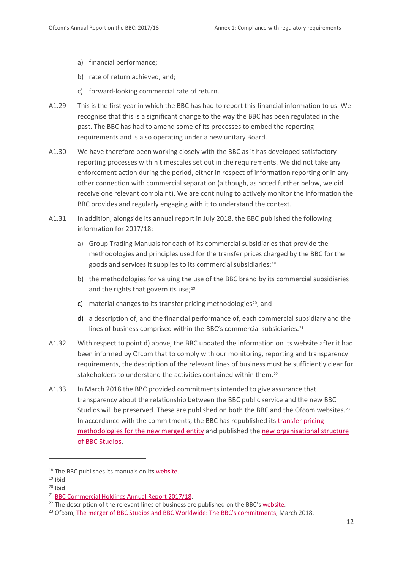- a) financial performance;
- b) rate of return achieved, and;
- c) forward-looking commercial rate of return.
- A1.29 This is the first year in which the BBC has had to report this financial information to us. We recognise that this is a significant change to the way the BBC has been regulated in the past. The BBC has had to amend some of its processes to embed the reporting requirements and is also operating under a new unitary Board.
- A1.30 We have therefore been working closely with the BBC as it has developed satisfactory reporting processes within timescales set out in the requirements. We did not take any enforcement action during the period, either in respect of information reporting or in any other connection with commercial separation (although, as noted further below, we did receive one relevant complaint). We are continuing to actively monitor the information the BBC provides and regularly engaging with it to understand the context.
- A1.31 In addition, alongside its annual report in July 2018, the BBC published the following information for 2017/18:
	- a) Group Trading Manuals for each of its commercial subsidiaries that provide the methodologies and principles used for the transfer prices charged by the BBC for the goods and services it supplies to its commercial subsidiaries;<sup>[18](#page-12-0)</sup>
	- b) the methodologies for valuing the use of the BBC brand by its commercial subsidiaries and the rights that govern its use;<sup>[19](#page-12-1)</sup>
	- c) material changes to its transfer pricing methodologies<sup>20</sup>; and
	- d) a description of, and the financial performance of, each commercial subsidiary and the lines of business comprised within the BBC's commercial subsidiaries.<sup>[21](#page-12-3)</sup>
- A1.32 With respect to point d) above, the BBC updated the information on its website after it had been informed by Ofcom that to comply with our monitoring, reporting and transparency requirements, the description of the relevant lines of business must be sufficiently clear for stakeholders to understand the activities contained within them.<sup>[22](#page-12-4)</sup>
- A1.33 In March 2018 the BBC provided commitments intended to give assurance that transparency about the relationship between the BBC public service and the new BBC Studios will be preserved. These are published on both the BBC and the Ofcom websites.<sup>[23](#page-12-5)</sup> In accordance with the commitments, the BBC has republished it[s transfer pricing](http://www.bbc.co.uk/corporate2/insidethebbc/howwework/policiesandguidelines/fairtrading.html)  [methodologies for the new merged entity](http://www.bbc.co.uk/corporate2/insidethebbc/howwework/policiesandguidelines/fairtrading.html) and published the [new organisational](https://www.bbcstudios.com/about/about-us/) structure [of BBC Studios.](https://www.bbcstudios.com/about/about-us/)

**.** 

<span id="page-12-0"></span><sup>&</sup>lt;sup>18</sup> The BBC publishes its manuals on it[s website.](http://www.bbc.co.uk/corporate2/insidethebbc/howwework/policiesandguidelines/fairtrading.html)

<span id="page-12-2"></span><span id="page-12-1"></span> $19$  Ibid<br> $20$  Ibid

<span id="page-12-3"></span><sup>&</sup>lt;sup>21</sup> [BBC Commercial Holdings Annual Report 2017/18.](http://downloads.bbc.co.uk/aboutthebbc/insidethebbc/reports/pdf/commercial_holdings_limited_accounts_201718.pdf)

<span id="page-12-4"></span><sup>&</sup>lt;sup>22</sup> The description of the relevant lines of business are published on the BBC's [website.](http://www.bbc.co.uk/corporate2/insidethebbc/howwework/reports/commercial_holdings_annual_report_1718)

<span id="page-12-5"></span><sup>&</sup>lt;sup>23</sup> Ofcom, [The merger of BBC Studios and BBC Worldwide: The BBC's commitments,](https://www.ofcom.org.uk/__data/assets/pdf_file/0014/112334/BBC_commitments_to_Ofcom.pdf) March 2018.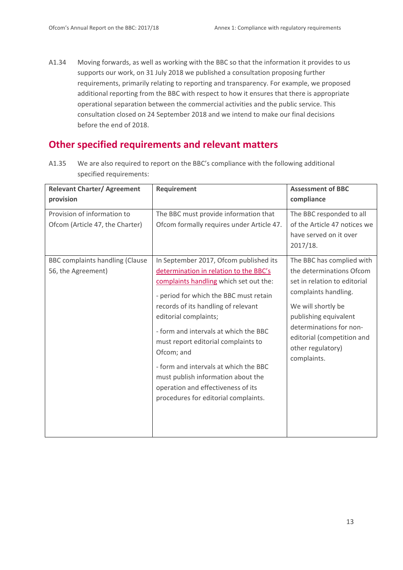A1.34 Moving forwards, as well as working with the BBC so that the information it provides to us supports our work, on 31 July 2018 we published a consultation proposing further requirements, primarily relating to reporting and transparency. For example, we proposed additional reporting from the BBC with respect to how it ensures that there is appropriate operational separation between the commercial activities and the public service. This consultation closed on 24 September 2018 and we intend to make our final decisions before the end of 2018.

## **Other specified requirements and relevant matters**

A1.35 We are also required to report on the BBC's compliance with the following additional specified requirements:

| <b>Relevant Charter/ Agreement</b>                             | <b>Requirement</b>                                                                                                                                                                                                                                                                                                                                                                                                                                                                              | <b>Assessment of BBC</b>                                                                                                                                                                                                                                  |
|----------------------------------------------------------------|-------------------------------------------------------------------------------------------------------------------------------------------------------------------------------------------------------------------------------------------------------------------------------------------------------------------------------------------------------------------------------------------------------------------------------------------------------------------------------------------------|-----------------------------------------------------------------------------------------------------------------------------------------------------------------------------------------------------------------------------------------------------------|
| provision                                                      |                                                                                                                                                                                                                                                                                                                                                                                                                                                                                                 | compliance                                                                                                                                                                                                                                                |
| Provision of information to<br>Ofcom (Article 47, the Charter) | The BBC must provide information that<br>Ofcom formally requires under Article 47.                                                                                                                                                                                                                                                                                                                                                                                                              | The BBC responded to all<br>of the Article 47 notices we<br>have served on it over<br>2017/18.                                                                                                                                                            |
| <b>BBC complaints handling (Clause</b><br>56, the Agreement)   | In September 2017, Ofcom published its<br>determination in relation to the BBC's<br>complaints handling which set out the:<br>- period for which the BBC must retain<br>records of its handling of relevant<br>editorial complaints;<br>- form and intervals at which the BBC<br>must report editorial complaints to<br>Ofcom; and<br>- form and intervals at which the BBC<br>must publish information about the<br>operation and effectiveness of its<br>procedures for editorial complaints. | The BBC has complied with<br>the determinations Ofcom<br>set in relation to editorial<br>complaints handling.<br>We will shortly be<br>publishing equivalent<br>determinations for non-<br>editorial (competition and<br>other regulatory)<br>complaints. |